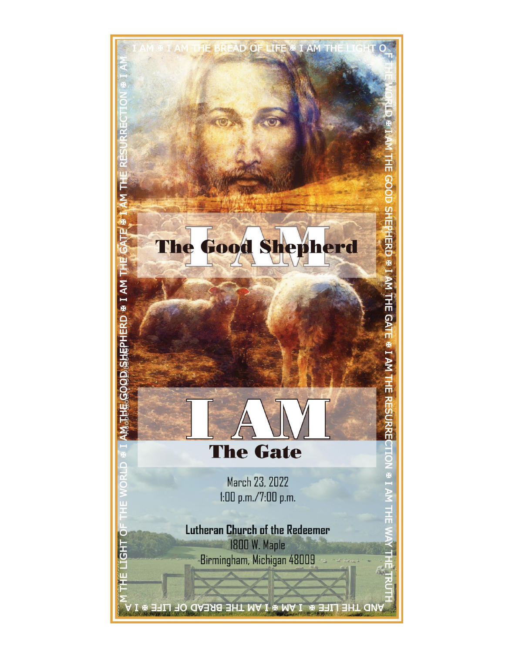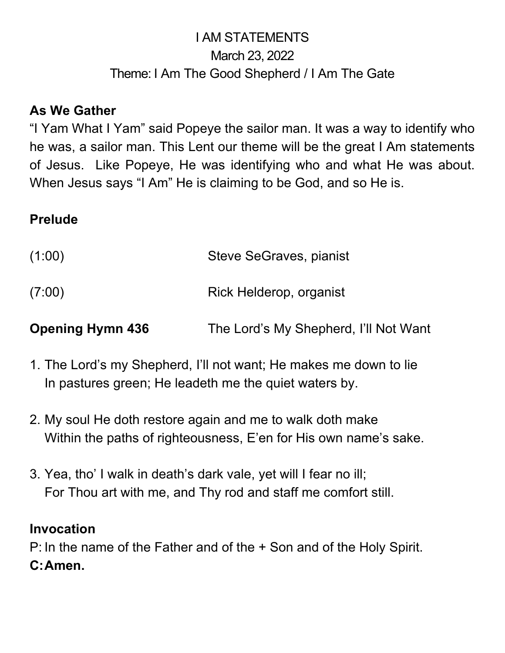# I AM STATEMENTS March 23, 2022 Theme: I Am The Good Shepherd / I Am The Gate

# **As We Gather**

"I Yam What I Yam" said Popeye the sailor man. It was a way to identify who he was, a sailor man. This Lent our theme will be the great I Am statements of Jesus. Like Popeye, He was identifying who and what He was about. When Jesus says "I Am" He is claiming to be God, and so He is.

# **Prelude**

| <b>Opening Hymn 436</b> | The Lord's My Shepherd, I'll Not Want |
|-------------------------|---------------------------------------|
| (7:00)                  | Rick Helderop, organist               |
| (1:00)                  | <b>Steve SeGraves, pianist</b>        |

- 1. The Lord's my Shepherd, I'll not want; He makes me down to lie In pastures green; He leadeth me the quiet waters by.
- 2. My soul He doth restore again and me to walk doth make Within the paths of righteousness, E'en for His own name's sake.
- 3. Yea, tho' I walk in death's dark vale, yet will I fear no ill; For Thou art with me, and Thy rod and staff me comfort still.

## **Invocation**

P: In the name of the Father and of the + Son and of the Holy Spirit. **C:Amen.**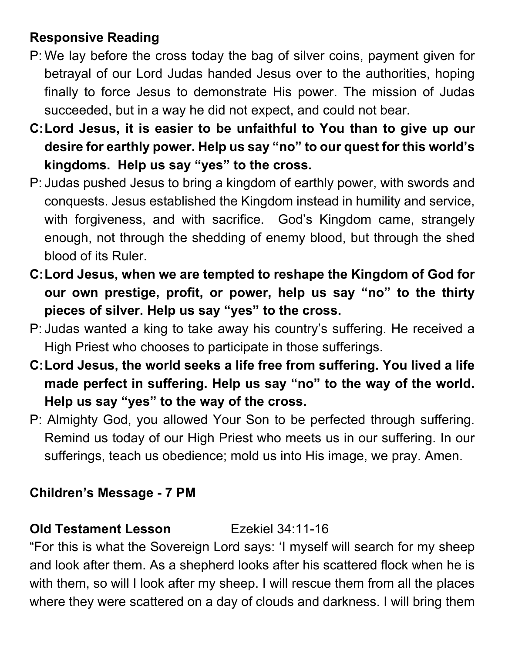# **Responsive Reading**

- P: We lay before the cross today the bag of silver coins, payment given for betrayal of our Lord Judas handed Jesus over to the authorities, hoping finally to force Jesus to demonstrate His power. The mission of Judas succeeded, but in a way he did not expect, and could not bear.
- **C:Lord Jesus, it is easier to be unfaithful to You than to give up our desire for earthly power. Help us say "no" to our quest for this world's kingdoms. Help us say "yes" to the cross.**
- P: Judas pushed Jesus to bring a kingdom of earthly power, with swords and conquests. Jesus established the Kingdom instead in humility and service, with forgiveness, and with sacrifice. God's Kingdom came, strangely enough, not through the shedding of enemy blood, but through the shed blood of its Ruler.
- **C:Lord Jesus, when we are tempted to reshape the Kingdom of God for our own prestige, profit, or power, help us say "no" to the thirty pieces of silver. Help us say "yes" to the cross.**
- P: Judas wanted a king to take away his country's suffering. He received a High Priest who chooses to participate in those sufferings.
- **C:Lord Jesus, the world seeks a life free from suffering. You lived a life made perfect in suffering. Help us say "no" to the way of the world. Help us say "yes" to the way of the cross.**
- P: Almighty God, you allowed Your Son to be perfected through suffering. Remind us today of our High Priest who meets us in our suffering. In our sufferings, teach us obedience; mold us into His image, we pray. Amen.

# **Children's Message - 7 PM**

#### **Old Testament Lesson** Ezekiel 34:11-16

"For this is what the Sovereign Lord says: 'I myself will search for my sheep and look after them. As a shepherd looks after his scattered flock when he is with them, so will I look after my sheep. I will rescue them from all the places where they were scattered on a day of clouds and darkness. I will bring them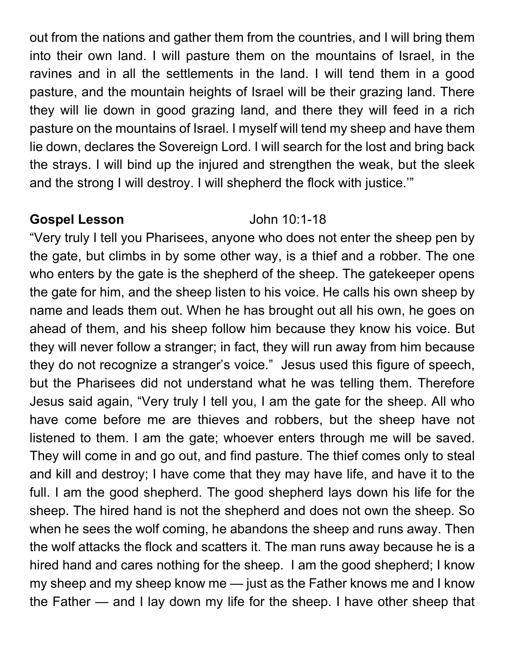out from the nations and gather them from the countries, and I will bring them into their own land. I will pasture them on the mountains of Israel, in the ravines and in all the settlements in the land. I will tend them in a good pasture, and the mountain heights of Israel will be their grazing land. There they will lie down in good grazing land, and there they will feed in a rich pasture on the mountains of Israel. I myself will tend my sheep and have them lie down, declares the Sovereign Lord. I will search for the lost and bring back the strays. I will bind up the injured and strengthen the weak, but the sleek and the strong I will destroy. I will shepherd the flock with justice.'"

#### **Gospel Lesson** John 10:1-18

"Very truly I tell you Pharisees, anyone who does not enter the sheep pen by the gate, but climbs in by some other way, is a thief and a robber. The one who enters by the gate is the shepherd of the sheep. The gatekeeper opens the gate for him, and the sheep listen to his voice. He calls his own sheep by name and leads them out. When he has brought out all his own, he goes on ahead of them, and his sheep follow him because they know his voice. But they will never follow a stranger; in fact, they will run away from him because they do not recognize a stranger's voice." Jesus used this figure of speech, but the Pharisees did not understand what he was telling them. Therefore Jesus said again, "Very truly I tell you, I am the gate for the sheep. All who have come before me are thieves and robbers, but the sheep have not listened to them. I am the gate; whoever enters through me will be saved. They will come in and go out, and find pasture. The thief comes only to steal and kill and destroy; I have come that they may have life, and have it to the full. I am the good shepherd. The good shepherd lays down his life for the sheep. The hired hand is not the shepherd and does not own the sheep. So when he sees the wolf coming, he abandons the sheep and runs away. Then the wolf attacks the flock and scatters it. The man runs away because he is a hired hand and cares nothing for the sheep. I am the good shepherd; I know my sheep and my sheep know me — just as the Father knows me and I know the Father — and I lay down my life for the sheep. I have other sheep that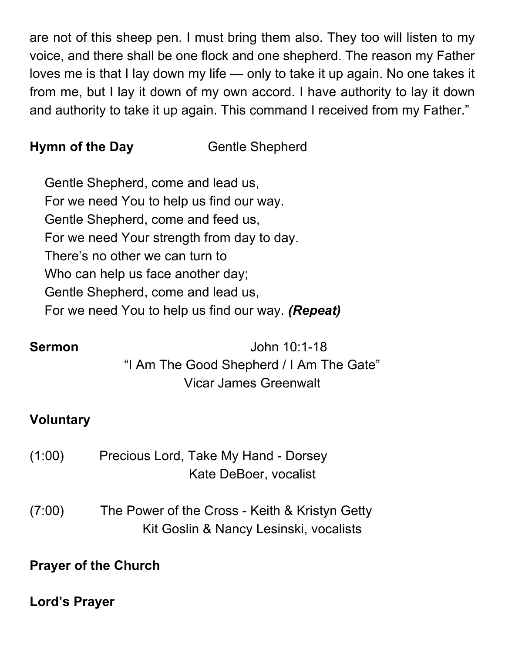are not of this sheep pen. I must bring them also. They too will listen to my voice, and there shall be one flock and one shepherd. The reason my Father loves me is that I lay down my life — only to take it up again. No one takes it from me, but I lay it down of my own accord. I have authority to lay it down and authority to take it up again. This command I received from my Father."

## **Hymn of the Day** Gentle Shepherd

Gentle Shepherd, come and lead us, For we need You to help us find our way. Gentle Shepherd, come and feed us, For we need Your strength from day to day. There's no other we can turn to Who can help us face another day; Gentle Shepherd, come and lead us, For we need You to help us find our way. *(Repeat)*

**Sermon** John 10:1-18 "I Am The Good Shepherd / I Am The Gate" Vicar James Greenwalt

# **Voluntary**

| (1:00) | Precious Lord, Take My Hand - Dorsey |
|--------|--------------------------------------|
|        | Kate DeBoer, vocalist                |

(7:00) The Power of the Cross - Keith & Kristyn Getty Kit Goslin & Nancy Lesinski, vocalists

# **Prayer of the Church**

#### **Lord's Prayer**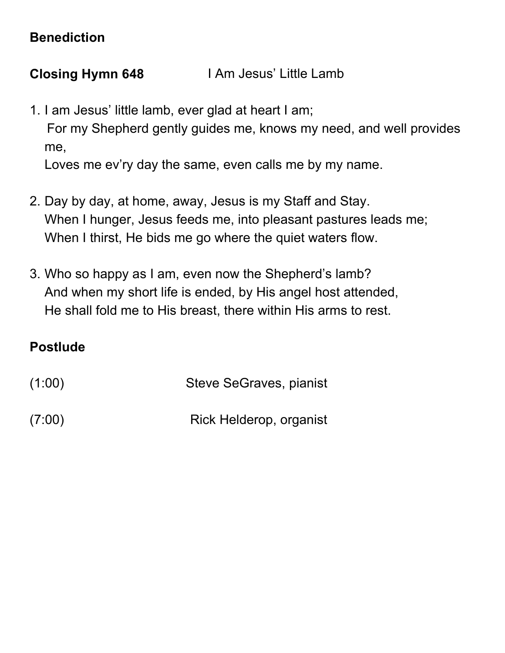# **Benediction**

# **Closing Hymn 648** I Am Jesus' Little Lamb

1. I am Jesus' little lamb, ever glad at heart I am; For my Shepherd gently guides me, knows my need, and well provides me,

Loves me ev'ry day the same, even calls me by my name.

- 2. Day by day, at home, away, Jesus is my Staff and Stay. When I hunger, Jesus feeds me, into pleasant pastures leads me; When I thirst, He bids me go where the quiet waters flow.
- 3. Who so happy as I am, even now the Shepherd's lamb? And when my short life is ended, by His angel host attended, He shall fold me to His breast, there within His arms to rest.

# **Postlude**

| (1:00) | Steve SeGraves, pianist |
|--------|-------------------------|
| (7:00) | Rick Helderop, organist |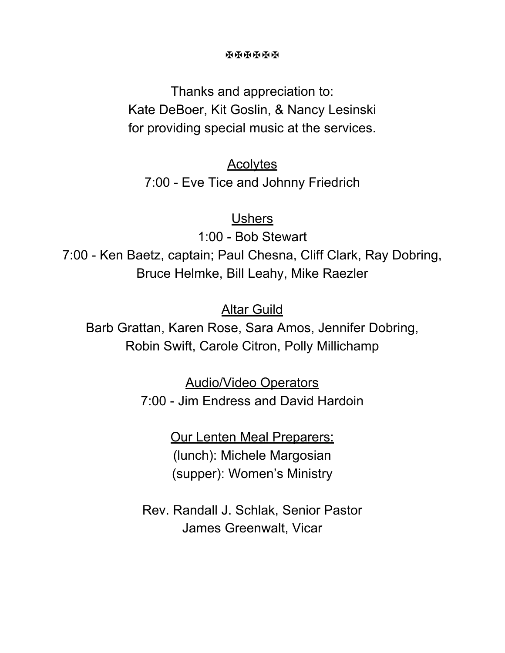**EXERERE** 

Thanks and appreciation to: Kate DeBoer, Kit Goslin, & Nancy Lesinski for providing special music at the services.

**Acolytes** 7:00 - Eve Tice and Johnny Friedrich

Ushers

1:00 - Bob Stewart

7:00 - Ken Baetz, captain; Paul Chesna, Cliff Clark, Ray Dobring, Bruce Helmke, Bill Leahy, Mike Raezler

Altar Guild

Barb Grattan, Karen Rose, Sara Amos, Jennifer Dobring, Robin Swift, Carole Citron, Polly Millichamp

> Audio/Video Operators 7:00 - Jim Endress and David Hardoin

> > Our Lenten Meal Preparers: (lunch): Michele Margosian (supper): Women's Ministry

Rev. Randall J. Schlak, Senior Pastor James Greenwalt, Vicar